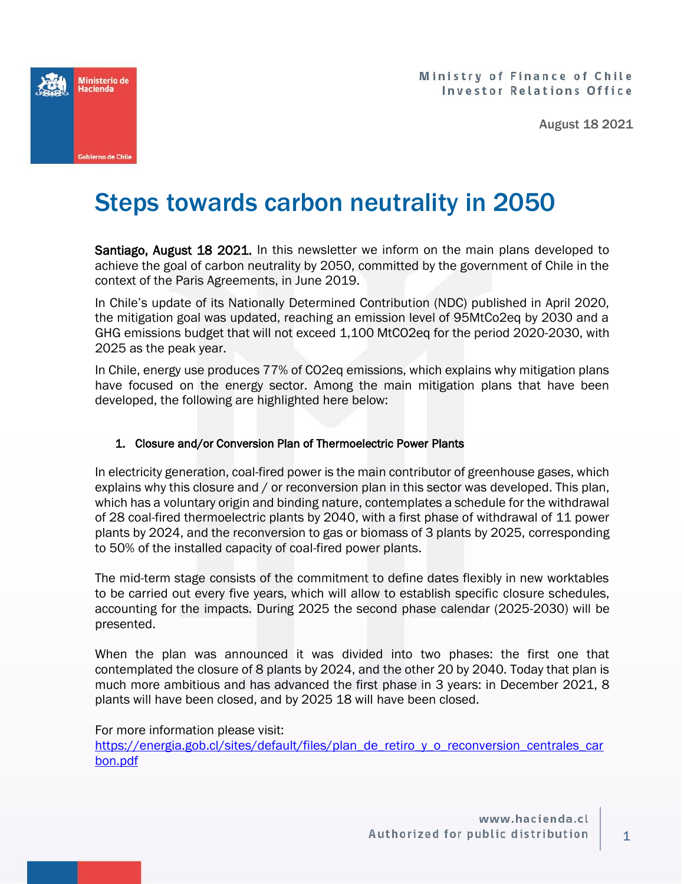



August 18 2021

# Steps towards carbon neutrality in 2050

Santiago, August 18 2021. In this newsletter we inform on the main plans developed to achieve the goal of carbon neutrality by 2050, committed by the government of Chile in the context of the Paris Agreements, in June 2019.

In Chile's update of its Nationally Determined Contribution (NDC) published in April 2020, the mitigation goal was updated, reaching an emission level of 95MtCo2eq by 2030 and a GHG emissions budget that will not exceed 1,100 MtCO2eq for the period 2020-2030, with 2025 as the peak year.

In Chile, energy use produces 77% of CO2eq emissions, which explains why mitigation plans have focused on the energy sector. Among the main mitigation plans that have been developed, the following are highlighted here below:

#### 1. Closure and/or Conversion Plan of Thermoelectric Power Plants

In electricity generation, coal-fired power is the main contributor of greenhouse gases, which explains why this closure and / or reconversion plan in this sector was developed. This plan, which has a voluntary origin and binding nature, contemplates a schedule for the withdrawal of 28 coal-fired thermoelectric plants by 2040, with a first phase of withdrawal of 11 power plants by 2024, and the reconversion to gas or biomass of 3 plants by 2025, corresponding to 50% of the installed capacity of coal-fired power plants.

The mid-term stage consists of the commitment to define dates flexibly in new worktables to be carried out every five years, which will allow to establish specific closure schedules, accounting for the impacts. During 2025 the second phase calendar (2025-2030) will be presented.

When the plan was announced it was divided into two phases: the first one that contemplated the closure of 8 plants by 2024, and the other 20 by 2040. Today that plan is much more ambitious and has advanced the first phase in 3 years: in December 2021, 8 plants will have been closed, and by 2025 18 will have been closed.

For more information please visit:

[https://energia.gob.cl/sites/default/files/plan\\_de\\_retiro\\_y\\_o\\_reconversion\\_centrales\\_car](https://energia.gob.cl/sites/default/files/plan_de_retiro_y_o_reconversion_centrales_carbon.pdf) [bon.pdf](https://energia.gob.cl/sites/default/files/plan_de_retiro_y_o_reconversion_centrales_carbon.pdf)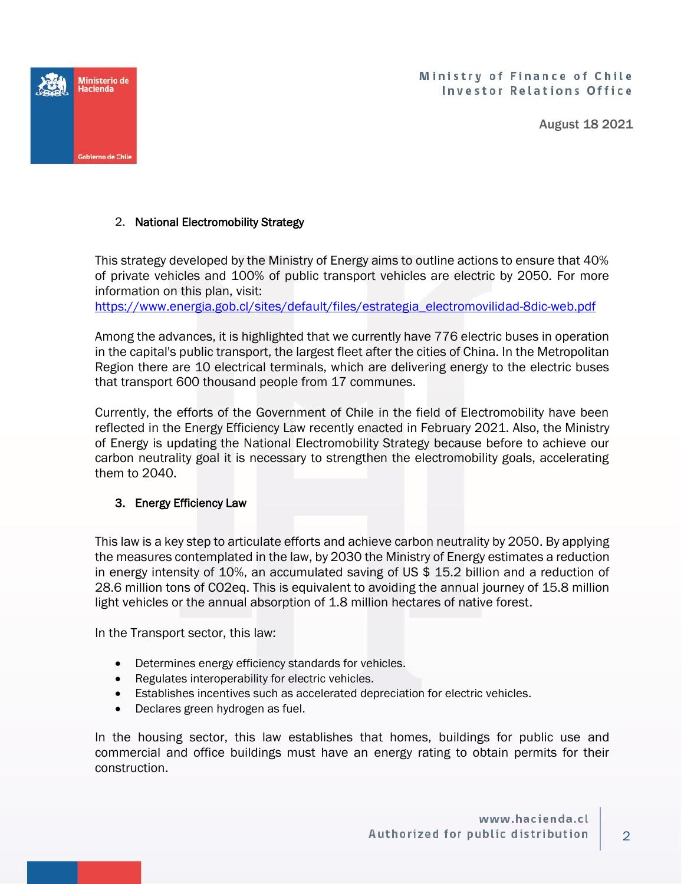Ministry of Finance of Chile **Investor Relations Office** 

August 18 2021



## 2. National Electromobility Strategy

This strategy developed by the Ministry of Energy aims to outline actions to ensure that 40% of private vehicles and 100% of public transport vehicles are electric by 2050. For more information on this plan, visit:

[https://www.energia.gob.cl/sites/default/files/estrategia\\_electromovilidad-8dic-web.pdf](https://www.energia.gob.cl/sites/default/files/estrategia_electromovilidad-8dic-web.pdf)

Among the advances, it is highlighted that we currently have 776 electric buses in operation in the capital's public transport, the largest fleet after the cities of China. In the Metropolitan Region there are 10 electrical terminals, which are delivering energy to the electric buses that transport 600 thousand people from 17 communes.

Currently, the efforts of the Government of Chile in the field of Electromobility have been reflected in the Energy Efficiency Law recently enacted in February 2021. Also, the Ministry of Energy is updating the National Electromobility Strategy because before to achieve our carbon neutrality goal it is necessary to strengthen the electromobility goals, accelerating them to 2040.

## 3. Energy Efficiency Law

This law is a key step to articulate efforts and achieve carbon neutrality by 2050. By applying the measures contemplated in the law, by 2030 the Ministry of Energy estimates a reduction in energy intensity of 10%, an accumulated saving of US \$ 15.2 billion and a reduction of 28.6 million tons of CO2eq. This is equivalent to avoiding the annual journey of 15.8 million light vehicles or the annual absorption of 1.8 million hectares of native forest.

In the Transport sector, this law:

- Determines energy efficiency standards for vehicles.
- Regulates interoperability for electric vehicles.
- Establishes incentives such as accelerated depreciation for electric vehicles.
- Declares green hydrogen as fuel.

In the housing sector, this law establishes that homes, buildings for public use and commercial and office buildings must have an energy rating to obtain permits for their construction.